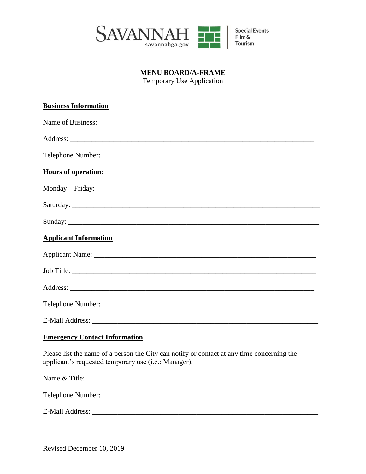

## **MENU BOARD/A-FRAME**

Temporary Use Application

| <b>Business Information</b>                                                                                                                        |
|----------------------------------------------------------------------------------------------------------------------------------------------------|
|                                                                                                                                                    |
|                                                                                                                                                    |
|                                                                                                                                                    |
| <b>Hours of operation:</b>                                                                                                                         |
|                                                                                                                                                    |
|                                                                                                                                                    |
|                                                                                                                                                    |
| <b>Applicant Information</b>                                                                                                                       |
|                                                                                                                                                    |
|                                                                                                                                                    |
|                                                                                                                                                    |
|                                                                                                                                                    |
|                                                                                                                                                    |
| <b>Emergency Contact Information</b>                                                                                                               |
| Please list the name of a person the City can notify or contact at any time concerning the<br>applicant's requested temporary use (i.e.: Manager). |
|                                                                                                                                                    |
|                                                                                                                                                    |
| <b>E-Mail Address:</b>                                                                                                                             |

Revised December 10, 2019